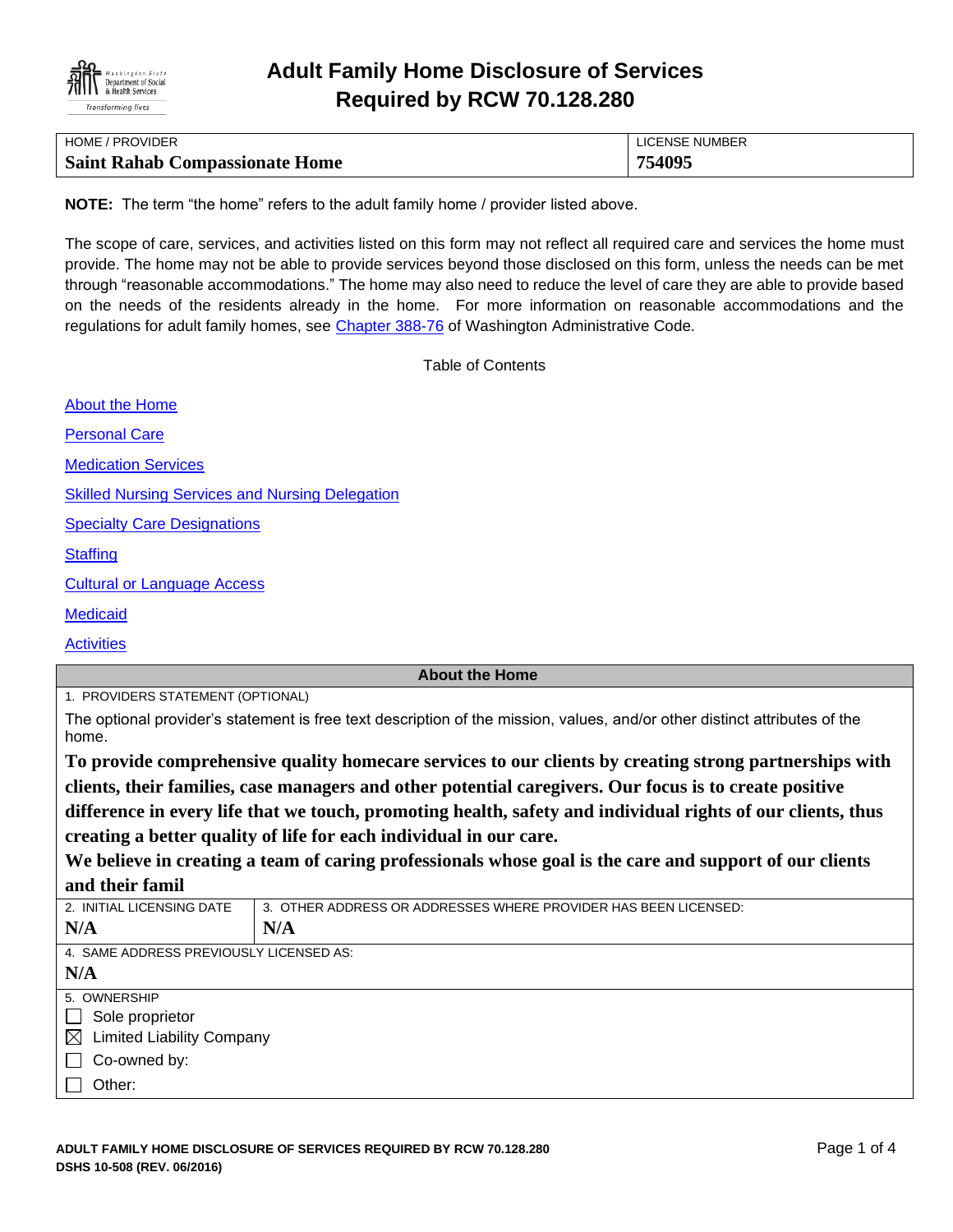

| HOME / PROVIDER                       | LICENSE NUMBER |
|---------------------------------------|----------------|
| <b>Saint Rahab Compassionate Home</b> | 754095         |

**NOTE:** The term "the home" refers to the adult family home / provider listed above.

The scope of care, services, and activities listed on this form may not reflect all required care and services the home must provide. The home may not be able to provide services beyond those disclosed on this form, unless the needs can be met through "reasonable accommodations." The home may also need to reduce the level of care they are able to provide based on the needs of the residents already in the home. For more information on reasonable accommodations and the regulations for adult family homes, see [Chapter 388-76](http://apps.leg.wa.gov/WAC/default.aspx?cite=388-76) of Washington Administrative Code.

Table of Contents

[About the Home](#page-0-0)

[Personal Care](#page-1-0)

[Medication Services](#page-1-1)

[Skilled Nursing Services and Nursing Delegation](#page-2-0)

[Specialty Care Designations](#page-2-1)

**[Staffing](#page-2-2)** 

[Cultural or Language Access](#page-3-0)

**[Medicaid](#page-3-1)** 

**[Activities](#page-3-2)** 

#### <span id="page-0-0"></span>**About the Home**

1. PROVIDERS STATEMENT (OPTIONAL)

The optional provider's statement is free text description of the mission, values, and/or other distinct attributes of the home.

**To provide comprehensive quality homecare services to our clients by creating strong partnerships with clients, their families, case managers and other potential caregivers. Our focus is to create positive difference in every life that we touch, promoting health, safety and individual rights of our clients, thus creating a better quality of life for each individual in our care.**

**We believe in creating a team of caring professionals whose goal is the care and support of our clients and their famil**

| 2. INITIAL LICENSING DATE                       | 3. OTHER ADDRESS OR ADDRESSES WHERE PROVIDER HAS BEEN LICENSED: |  |  |  |  |  |
|-------------------------------------------------|-----------------------------------------------------------------|--|--|--|--|--|
| N/A                                             | N/A                                                             |  |  |  |  |  |
| 4. SAME ADDRESS PREVIOUSLY LICENSED AS:         |                                                                 |  |  |  |  |  |
| N/A                                             |                                                                 |  |  |  |  |  |
| 5. OWNERSHIP                                    |                                                                 |  |  |  |  |  |
| Sole proprietor<br>$\mathbf{L}$                 |                                                                 |  |  |  |  |  |
| <b>Limited Liability Company</b><br>$\boxtimes$ |                                                                 |  |  |  |  |  |
| Co-owned by:                                    |                                                                 |  |  |  |  |  |
| Other:                                          |                                                                 |  |  |  |  |  |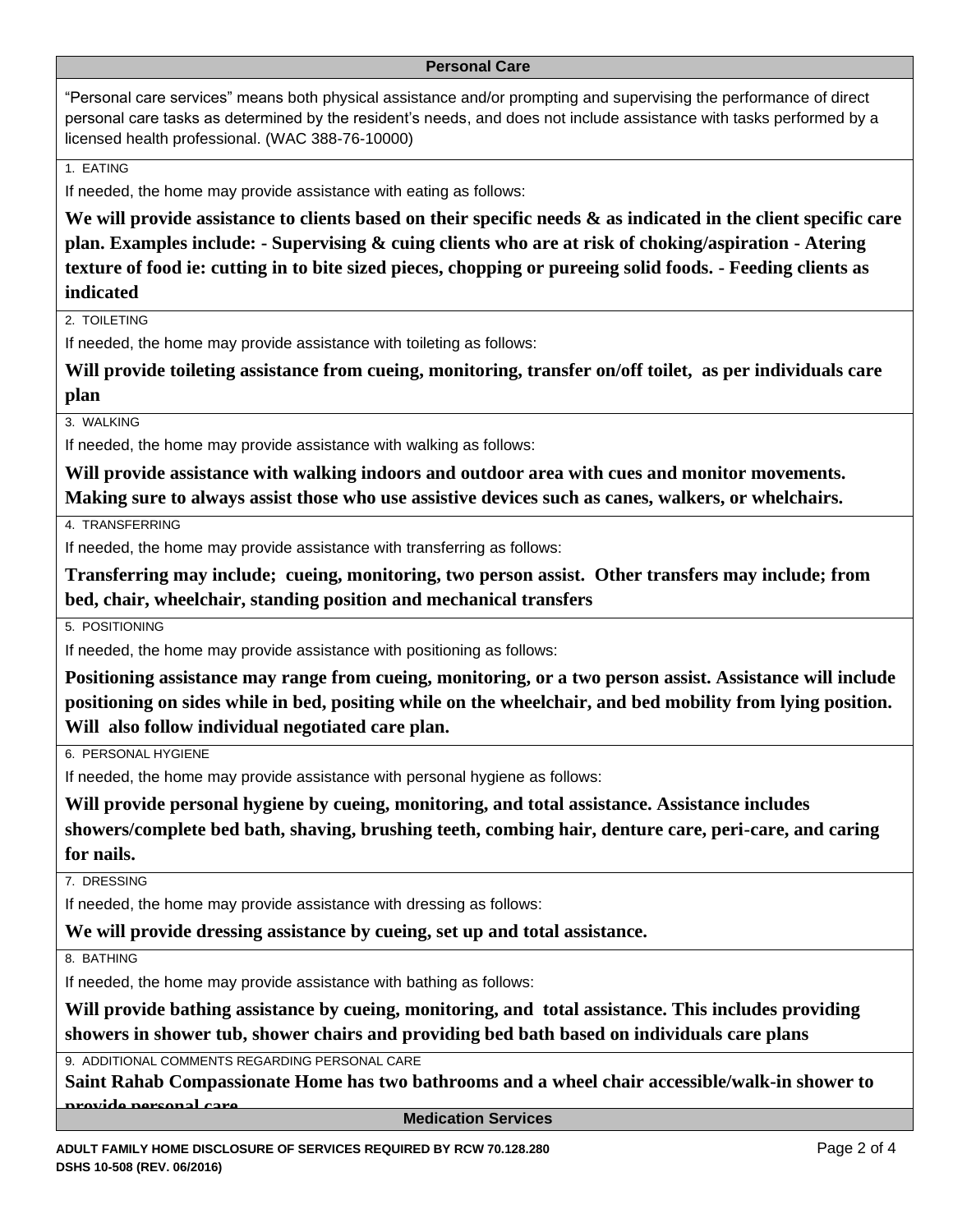#### <span id="page-1-0"></span>**Personal Care**

"Personal care services" means both physical assistance and/or prompting and supervising the performance of direct personal care tasks as determined by the resident's needs, and does not include assistance with tasks performed by a licensed health professional. (WAC 388-76-10000)

1. EATING

If needed, the home may provide assistance with eating as follows:

**We will provide assistance to clients based on their specific needs & as indicated in the client specific care plan. Examples include: - Supervising & cuing clients who are at risk of choking/aspiration - Atering texture of food ie: cutting in to bite sized pieces, chopping or pureeing solid foods. - Feeding clients as indicated**

2. TOIL FTING

If needed, the home may provide assistance with toileting as follows:

**Will provide toileting assistance from cueing, monitoring, transfer on/off toilet, as per individuals care plan**

3. WALKING

If needed, the home may provide assistance with walking as follows:

**Will provide assistance with walking indoors and outdoor area with cues and monitor movements. Making sure to always assist those who use assistive devices such as canes, walkers, or whelchairs.**

4. TRANSFERRING

If needed, the home may provide assistance with transferring as follows:

**Transferring may include; cueing, monitoring, two person assist. Other transfers may include; from bed, chair, wheelchair, standing position and mechanical transfers**

5. POSITIONING

If needed, the home may provide assistance with positioning as follows:

**Positioning assistance may range from cueing, monitoring, or a two person assist. Assistance will include positioning on sides while in bed, positing while on the wheelchair, and bed mobility from lying position. Will also follow individual negotiated care plan.**

6. PERSONAL HYGIENE

If needed, the home may provide assistance with personal hygiene as follows:

**Will provide personal hygiene by cueing, monitoring, and total assistance. Assistance includes showers/complete bed bath, shaving, brushing teeth, combing hair, denture care, peri-care, and caring for nails.**

7. DRESSING

If needed, the home may provide assistance with dressing as follows:

**We will provide dressing assistance by cueing, set up and total assistance.** 

8. BATHING

If needed, the home may provide assistance with bathing as follows:

**Will provide bathing assistance by cueing, monitoring, and total assistance. This includes providing showers in shower tub, shower chairs and providing bed bath based on individuals care plans**

9. ADDITIONAL COMMENTS REGARDING PERSONAL CARE

**Saint Rahab Compassionate Home has two bathrooms and a wheel chair accessible/walk-in shower to provide personal care** 

<span id="page-1-1"></span>**Medication Services**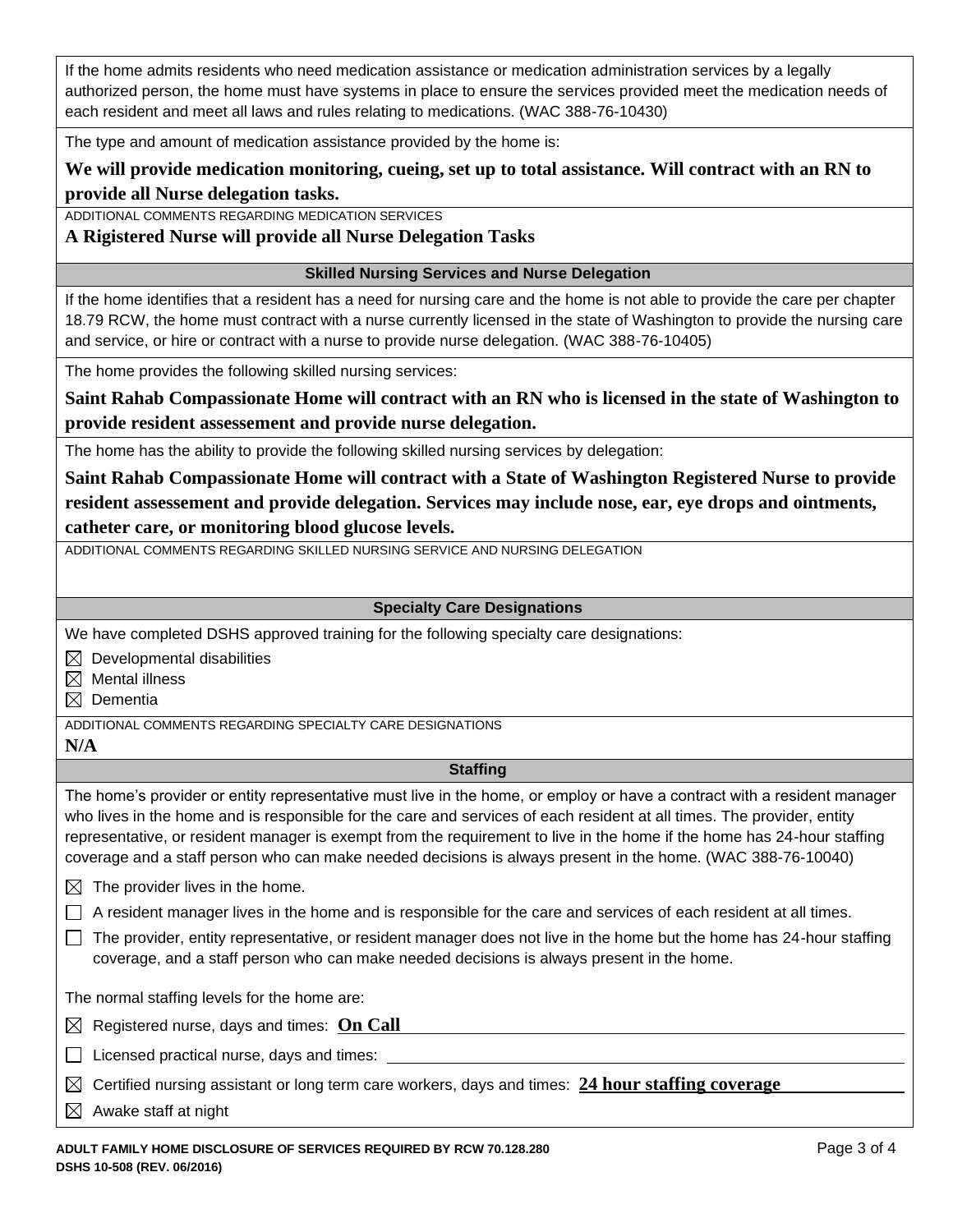If the home admits residents who need medication assistance or medication administration services by a legally authorized person, the home must have systems in place to ensure the services provided meet the medication needs of each resident and meet all laws and rules relating to medications. (WAC 388-76-10430)

The type and amount of medication assistance provided by the home is:

# **We will provide medication monitoring, cueing, set up to total assistance. Will contract with an RN to provide all Nurse delegation tasks.**

ADDITIONAL COMMENTS REGARDING MEDICATION SERVICES

## **A Rigistered Nurse will provide all Nurse Delegation Tasks**

### <span id="page-2-0"></span>**Skilled Nursing Services and Nurse Delegation**

If the home identifies that a resident has a need for nursing care and the home is not able to provide the care per chapter 18.79 RCW, the home must contract with a nurse currently licensed in the state of Washington to provide the nursing care and service, or hire or contract with a nurse to provide nurse delegation. (WAC 388-76-10405)

The home provides the following skilled nursing services:

**Saint Rahab Compassionate Home will contract with an RN who is licensed in the state of Washington to provide resident assessement and provide nurse delegation.**

The home has the ability to provide the following skilled nursing services by delegation:

**Saint Rahab Compassionate Home will contract with a State of Washington Registered Nurse to provide resident assessement and provide delegation. Services may include nose, ear, eye drops and ointments, catheter care, or monitoring blood glucose levels.**

ADDITIONAL COMMENTS REGARDING SKILLED NURSING SERVICE AND NURSING DELEGATION

### <span id="page-2-1"></span>**Specialty Care Designations**

We have completed DSHS approved training for the following specialty care designations:

- $\boxtimes$  Developmental disabilities
- $\boxtimes$  Mental illness
- $\boxtimes$  Dementia

ADDITIONAL COMMENTS REGARDING SPECIALTY CARE DESIGNATIONS

**N/A**

## <span id="page-2-2"></span>**Staffing**

The home's provider or entity representative must live in the home, or employ or have a contract with a resident manager who lives in the home and is responsible for the care and services of each resident at all times. The provider, entity representative, or resident manager is exempt from the requirement to live in the home if the home has 24-hour staffing coverage and a staff person who can make needed decisions is always present in the home. (WAC 388-76-10040)

- $\boxtimes$  The provider lives in the home.
- $\Box$  A resident manager lives in the home and is responsible for the care and services of each resident at all times.
- $\Box$  The provider, entity representative, or resident manager does not live in the home but the home has 24-hour staffing coverage, and a staff person who can make needed decisions is always present in the home.

The normal staffing levels for the home are:

| $\boxtimes$ Registered nurse, days and times: On Call |  |
|-------------------------------------------------------|--|
|                                                       |  |

 $\Box$  Licensed practical nurse, days and times:

|  |  |  |  | $\boxtimes$ Certified nursing assistant or long term care workers, days and times: $\,$ 24 hour staffing coverage |
|--|--|--|--|-------------------------------------------------------------------------------------------------------------------|
|--|--|--|--|-------------------------------------------------------------------------------------------------------------------|

 $\boxtimes$  Awake staff at night